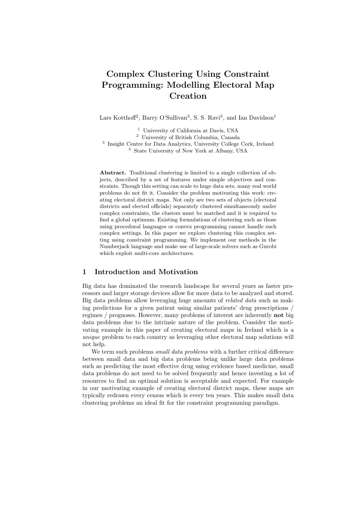# **Complex Clustering Using Constraint Programming: Modelling Electoral Map Creation**

Lars Kotthoff<sup>2</sup>, Barry O'Sullivan<sup>3</sup>, S. S. Ravi<sup>3</sup>, and Ian Davidson<sup>1</sup>

<sup>1</sup> University of California at Davis, USA

<sup>2</sup> University of British Columbia, Canada

<sup>3</sup> Insight Centre for Data Analytics, University College Cork, Ireland <sup>4</sup> State University of New York at Albany, USA

**Abstract.** Traditional clustering is limited to a single collection of objects, described by a set of features under simple objectives and constraints. Though this setting can scale to huge data sets, many real world problems do not fit it. Consider the problem motivating this work: creating electoral district maps. Not only are two sets of objects (electoral districts and elected officials) separately clustered simultaneously under complex constraints, the clusters must be matched and it is required to find a global optimum. Existing formulations of clustering such as those using procedural languages or convex programming cannot handle such complex settings. In this paper we explore clustering this complex setting using constraint programming. We implement our methods in the Numberjack language and make use of large-scale solvers such as Gurobi which exploit multi-core architectures.

# **1 Introduction and Motivation**

Big data has dominated the research landscape for several years as faster processors and larger storage devices allow for more data to be analyzed and stored. Big data problems allow leveraging huge amounts of *related data* such as making predictions for a given patient using similar patients' drug prescriptions / regimes / prognoses. However, many problems of interest are inherently **not** big data problems due to the intrinsic nature of the problem. Consider the motivating example in this paper of creating electoral maps in Ireland which is a *unique* problem to each country as leveraging other electoral map solutions will not help.

We term such problems *small data problems* with a further critical difference between small data and big data problems being unlike large data problems such as predicting the most effective drug using evidence based medicine, small data problems do not need to be solved frequently and hence investing a lot of resources to find an optimal solution is acceptable and expected. For example in our motivating example of creating electoral district maps, these maps are typically redrawn every census which is every ten years. This makes small data clustering problems an ideal fit for the constraint programming paradigm.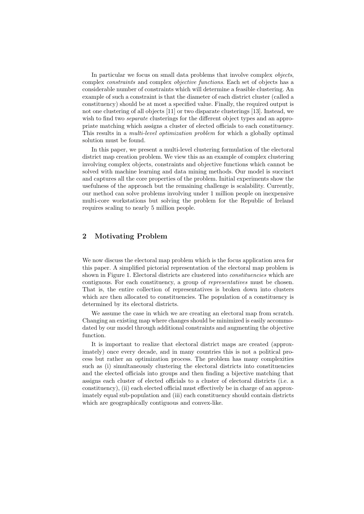In particular we focus on small data problems that involve complex *objects*, complex *constraints* and complex *objective functions*. Each set of objects has a considerable number of constraints which will determine a feasible clustering. An example of such a constraint is that the diameter of each district cluster (called a constituency) should be at most a specified value. Finally, the required output is not one clustering of all objects [11] or two disparate clusterings [13]. Instead, we wish to find two *separate* clusterings for the different object types and an appropriate matching which assigns a cluster of elected officials to each constituency. This results in a *multi-level optimization problem* for which a globally optimal solution must be found.

In this paper, we present a multi-level clustering formulation of the electoral district map creation problem. We view this as an example of complex clustering involving complex objects, constraints and objective functions which cannot be solved with machine learning and data mining methods. Our model is succinct and captures all the core properties of the problem. Initial experiments show the usefulness of the approach but the remaining challenge is scalability. Currently, our method can solve problems involving under 1 million people on inexpensive multi-core workstations but solving the problem for the Republic of Ireland requires scaling to nearly 5 million people.

# **2 Motivating Problem**

We now discuss the electoral map problem which is the focus application area for this paper. A simplified pictorial representation of the electoral map problem is shown in Figure 1. Electoral districts are clustered into *constituencies* which are contiguous. For each constituency, a group of *representatives* must be chosen. That is, the entire collection of representatives is broken down into clusters which are then allocated to constituencies. The population of a constituency is determined by its electoral districts.

We assume the case in which we are creating an electoral map from scratch. Changing an existing map where changes should be minimized is easily accommodated by our model through additional constraints and augmenting the objective function.

It is important to realize that electoral district maps are created (approximately) once every decade, and in many countries this is not a political process but rather an optimization process. The problem has many complexities such as (i) simultaneously clustering the electoral districts into constituencies and the elected officials into groups and then finding a bijective matching that assigns each cluster of elected officials to a cluster of electoral districts (i.e. a constituency), (ii) each elected official must effectively be in charge of an approximately equal sub-population and (iii) each constituency should contain districts which are geographically contiguous and convex-like.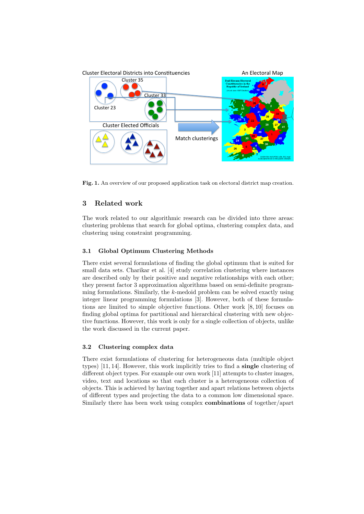

Fig. 1. An overview of our proposed application task on electoral district map creation.

# **3 Related work**

The work related to our algorithmic research can be divided into three areas: clustering problems that search for global optima, clustering complex data, and clustering using constraint programming.

### **3.1 Global Optimum Clustering Methods**

There exist several formulations of finding the global optimum that is suited for small data sets. Charikar et al. [4] study correlation clustering where instances are described only by their positive and negative relationships with each other; they present factor 3 approximation algorithms based on semi-definite programming formulations. Similarly, the *k*-medoid problem can be solved exactly using integer linear programming formulations [3]. However, both of these formulations are limited to simple objective functions. Other work [8, 10] focuses on finding global optima for partitional and hierarchical clustering with new objective functions. However, this work is only for a single collection of objects, unlike the work discussed in the current paper.

#### **3.2 Clustering complex data**

There exist formulations of clustering for heterogeneous data (multiple object types) [11, 14]. However, this work implicitly tries to find a **single** clustering of different object types. For example our own work [11] attempts to cluster images, video, text and locations so that each cluster is a heterogeneous collection of objects. This is achieved by having together and apart relations between objects of different types and projecting the data to a common low dimensional space. Similarly there has been work using complex **combinations** of together/apart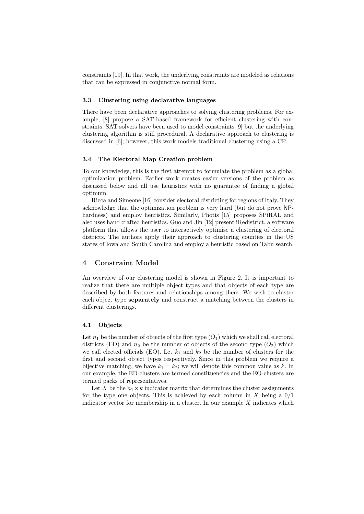constraints [19]. In that work, the underlying constraints are modeled as relations that can be expressed in conjunctive normal form.

#### **3.3 Clustering using declarative languages**

There have been declarative approaches to solving clustering problems. For example, [8] propose a SAT-based framework for efficient clustering with constraints. SAT solvers have been used to model constraints [9] but the underlying clustering algorithm is still procedural. A declarative approach to clustering is discussed in [6]; however, this work models traditional clustering using a CP.

#### **3.4 The Electoral Map Creation problem**

To our knowledge, this is the first attempt to formulate the problem as a global optimization problem. Earlier work creates easier versions of the problem as discussed below and all use heuristics with no guarantee of finding a global optimum.

Ricca and Simeone [16] consider electoral districting for regions of Italy. They acknowledge that the optimization problem is very hard (but do not prove NPhardness) and employ heuristics. Similarly, Photis [15] proposes SPiRAL and also uses hand crafted heuristics. Guo and Jin [12] present iRedistrict, a software platform that allows the user to interactively optimise a clustering of electoral districts. The authors apply their approach to clustering counties in the US states of Iowa and South Carolina and employ a heuristic based on Tabu search.

# **4 Constraint Model**

An overview of our clustering model is shown in Figure 2. It is important to realize that there are multiple object types and that objects of each type are described by both features and relationships among them. We wish to cluster each object type **separately** and construct a matching between the clusters in different clusterings.

#### **4.1 Objects**

Let  $n_1$  be the number of objects of the first type  $(O_1)$  which we shall call electoral districts (ED) and  $n_2$  be the number of objects of the second type  $(O_2)$  which we call elected officials (EO). Let  $k_1$  and  $k_2$  be the number of clusters for the first and second object types respectively. Since in this problem we require a bijective matching, we have  $k_1 = k_2$ ; we will denote this common value as k. In our example, the ED-clusters are termed constituencies and the EO-clusters are termed packs of representatives.

Let X be the  $n_1 \times k$  indicator matrix that determines the cluster assignments for the type one objects. This is achieved by each column in *X* being a 0/1 indicator vector for membership in a cluster. In our example *X* indicates which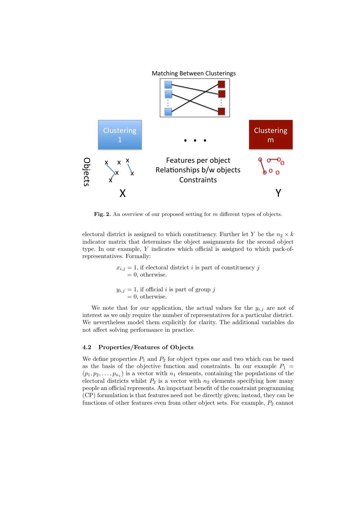

**Fig. 2.** An overview of our proposed setting for *m* different types of objects.

electoral district is assigned to which constituency. Further let *Y* be the  $n_2 \times k$ indicator matrix that determines the object assignments for the second object type. In our example, *Y* indicates which official is assigned to which pack-ofrepresentatives. Formally:

> $x_{i,j} = 1$ , if electoral district *i* is part of constituency *j*  $= 0$ , otherwise.  $y_{i,j} = 1$ , if official *i* is part of group *j*  $= 0$ , otherwise.

We note that for our application, the actual values for the  $y_{i,j}$  are not of interest as we only require the number of representatives for a particular district. We nevertheless model them explicitly for clarity. The additional variables do not affect solving performance in practice.

#### **4.2 Properties/Features of Objects**

We define properties  $P_1$  and  $P_2$  for object types one and two which can be used as the basis of the objective function and constraints. In our example  $P_1$  =  $(p_1, p_2, \ldots, p_{n_1})$  is a vector with  $n_1$  elements, containing the populations of the electoral districts whilst  $P_2$  is a vector with  $n_2$  elements specifying how many people an official represents. An important benefit of the constraint programming (CP) formulation is that features need not be directly given; instead, they can be functions of other features even from other object sets. For example,  $P_2$  cannot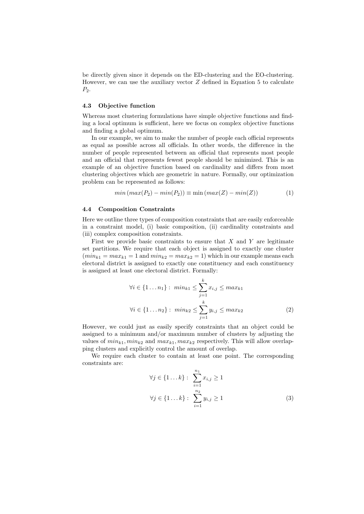be directly given since it depends on the ED-clustering and the EO-clustering. However, we can use the auxiliary vector *Z* defined in Equation 5 to calculate *P*2.

#### **4.3 Objective function**

Whereas most clustering formulations have simple objective functions and finding a local optimum is sufficient, here we focus on complex objective functions and finding a global optimum.

In our example, we aim to make the number of people each official represents as equal as possible across all officials. In other words, the difference in the number of people represented between an official that represents most people and an official that represents fewest people should be minimized. This is an example of an objective function based on cardinality and differs from most clustering objectives which are geometric in nature. Formally, our optimization problem can be represented as follows:

$$
min(max(P_2) - min(P_2)) \equiv min(max(Z) - min(Z))
$$
\n(1)

#### **4.4 Composition Constraints**

Here we outline three types of composition constraints that are easily enforceable in a constraint model, (i) basic composition, (ii) cardinality constraints and (iii) complex composition constraints.

First we provide basic constraints to ensure that *X* and *Y* are legitimate set partitions. We require that each object is assigned to exactly one cluster  $(min_{k1} = max_{k1} = 1$  and  $min_{k2} = max_{k2} = 1)$  which in our example means each electoral district is assigned to exactly one constituency and each constituency is assigned at least one electoral district. Formally:

$$
\forall i \in \{1 \dots n_1\} : \ min_{k1} \le \sum_{j=1}^k x_{i,j} \le \max_{k1} \\
\forall i \in \{1 \dots n_2\} : \ min_{k2} \le \sum_{j=1}^k y_{i,j} \le \max_{k2} \tag{2}
$$

However, we could just as easily specify constraints that an object could be assigned to a minimum and/or maximum number of clusters by adjusting the values of  $min_{k1}$ ,  $min_{k2}$  and  $max_{k1}$ ,  $max_{k2}$  respectively. This will allow overlapping clusters and explicitly control the amount of overlap.

We require each cluster to contain at least one point. The corresponding constraints are:

$$
\forall j \in \{1...k\}: \sum_{i=1}^{n_1} x_{i,j} \ge 1
$$
  

$$
\forall j \in \{1...k\}: \sum_{i=1}^{n_2} y_{i,j} \ge 1
$$
 (3)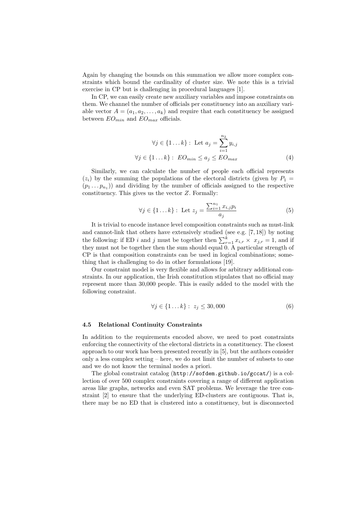Again by changing the bounds on this summation we allow more complex constraints which bound the cardinality of cluster size. We note this is a trivial exercise in CP but is challenging in procedural languages [1].

In CP, we can easily create new auxiliary variables and impose constraints on them. We channel the number of officials per constituency into an auxiliary variable vector  $A = (a_1, a_2, \ldots, a_k)$  and require that each constituency be assigned between *EOmin* and *EOmax* officials.

$$
\forall j \in \{1...k\} : \text{ Let } a_j = \sum_{i=1}^{n_2} y_{i,j}
$$

$$
\forall j \in \{1...k\} : \text{ } EO_{min} \le a_j \le EO_{max}
$$
(4)

Similarly, we can calculate the number of people each official represents  $(z_i)$  by the summing the populations of the electoral districts (given by  $P_1 =$  $(p_1 \ldots p_{n_1})$  and dividing by the number of officials assigned to the respective constituency. This gives us the vector *Z*. Formally:

$$
\forall j \in \{1...k\} : \text{Let } z_j = \frac{\sum_{i=1}^{n_1} x_{i,j} p_i}{a_j}
$$
 (5)

It is trivial to encode instance level composition constraints such as must-link and cannot-link that others have extensively studied (see e.g. [7, 18]) by noting the following: if ED *i* and *j* must be together then  $\sum_{r=1}^{k} x_{i,r} \times x_{j,r} = 1$ , and if they must not be together then the sum should equal 0. A particular strength of CP is that composition constraints can be used in logical combinations; something that is challenging to do in other formulations [19].

Our constraint model is very flexible and allows for arbitrary additional constraints. In our application, the Irish constitution stipulates that no official may represent more than 30,000 people. This is easily added to the model with the following constraint.

$$
\forall j \in \{1 \dots k\} : z_j \le 30,000 \tag{6}
$$

#### **4.5 Relational Continuity Constraints**

In addition to the requirements encoded above, we need to post constraints enforcing the connectivity of the electoral districts in a constituency. The closest approach to our work has been presented recently in [5], but the authors consider only a less complex setting – here, we do not limit the number of subsets to one and we do not know the terminal nodes a priori.

The global constraint catalog (http://sofdem.github.io/gccat/) is a collection of over 500 complex constraints covering a range of different application areas like graphs, networks and even SAT problems. We leverage the tree constraint [2] to ensure that the underlying ED-clusters are contiguous. That is, there may be no ED that is clustered into a constituency, but is disconnected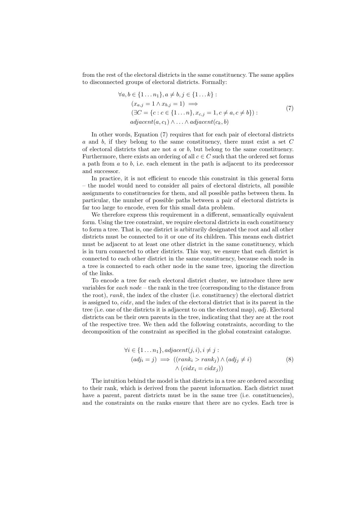from the rest of the electoral districts in the same constituency. The same applies to disconnected groups of electoral districts. Formally:

$$
\forall a, b \in \{1 \dots n_1\}, a \neq b, j \in \{1 \dots k\}:
$$
  
\n
$$
(x_{a,j} = 1 \land x_{b,j} = 1) \implies
$$
  
\n
$$
(\exists C = \{c : c \in \{1 \dots n\}, x_{c,j} = 1, c \neq a, c \neq b\}):
$$
  
\n
$$
adjacent(a, c_1) \land \dots \land adjacent(c_k, b)
$$
\n(7)

In other words, Equation (7) requires that for each pair of electoral districts *a* and *b*, if they belong to the same constituency, there must exist a set *C* of electoral districts that are not *a* or *b*, but belong to the same constituency. Furthermore, there exists an ordering of all  $c \in C$  such that the ordered set forms a path from *a* to *b*, i.e. each element in the path is adjacent to its predecessor and successor.

In practice, it is not efficient to encode this constraint in this general form – the model would need to consider all pairs of electoral districts, all possible assignments to constituencies for them, and all possible paths between them. In particular, the number of possible paths between a pair of electoral districts is far too large to encode, even for this small data problem.

We therefore express this requirement in a different, semantically equivalent form. Using the tree constraint, we require electoral districts in each constituency to form a tree. That is, one district is arbitrarily designated the root and all other districts must be connected to it or one of its children. This means each district must be adjacent to at least one other district in the same constituency, which is in turn connected to other districts. This way, we ensure that each district is connected to each other district in the same constituency, because each node in a tree is connected to each other node in the same tree, ignoring the direction of the links.

To encode a tree for each electoral district cluster, we introduce three new variables for *each node* – the rank in the tree (corresponding to the distance from the root), *rank*, the index of the cluster (i.e. constituency) the electoral district is assigned to, *cidx*, and the index of the electoral district that is its parent in the tree (i.e. one of the districts it is adjacent to on the electoral map), *adj*. Electoral districts can be their own parents in the tree, indicating that they are at the root of the respective tree. We then add the following constraints, according to the decomposition of the constraint as specified in the global constraint catalogue.

$$
\forall i \in \{1 \dots n_1\}, adjacent(j, i), i \neq j :(adj_i = j) \implies ((rank_i > rank_j) \land (adj_j \neq i) \land (cidx_i = cidx_j))
$$
\n
$$
(8)
$$

The intuition behind the model is that districts in a tree are ordered according to their rank, which is derived from the parent information. Each district must have a parent, parent districts must be in the same tree (i.e. constituencies), and the constraints on the ranks ensure that there are no cycles. Each tree is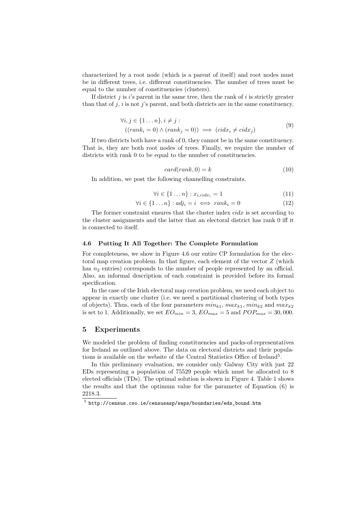characterized by a root node (which is a parent of itself) and root nodes must be in different trees, i.e. different constituencies. The number of trees must be equal to the number of constituencies (clusters).

If district *j* is *i*'s parent in the same tree, then the rank of *i* is strictly greater than that of *j*, *i* is not *j*'s parent, and both districts are in the same constituency.

$$
\forall i, j \in \{1 \dots n\}, i \neq j:
$$
  

$$
((rank_i = 0) \land (rank_j = 0)) \implies (cidx_i \neq cidx_j)
$$

$$
(9)
$$

If two districts both have a rank of 0, they cannot be in the same constituency. That is, they are both root nodes of trees. Finally, we require the number of districts with rank 0 to be equal to the number of constituencies.

$$
card(rank, 0) = k \tag{10}
$$

In addition, we post the following channelling constraints.

$$
\forall i \in \{1 \dots n\} : x_{i,cidx_i} = 1 \tag{11}
$$

$$
\forall i \in \{1 \dots n\} : adj_i = i \iff rank_i = 0 \tag{12}
$$

The former constraint ensures that the cluster index *cidx* is set according to the cluster assignments and the latter that an electoral district has rank 0 iff it is connected to itself.

### **4.6 Putting It All Together: The Complete Formulation**

For completeness, we show in Figure 4.6 our entire CP formulation for the electoral map creation problem. In that figure, each element of the vector *Z* (which has  $n_2$  entries) corresponds to the number of people represented by an official. Also, an informal description of each constraint is provided before its formal specification.

In the case of the Irish electoral map creation problem, we need each object to appear in exactly one cluster (i.e. we need a partitional clustering of both types of objects). Thus, each of the four parameters  $min_{k1}$ ,  $max_{k1}$ ,  $min_{k2}$  and  $max_{k2}$ is set to 1. Additionally, we set  $EO_{min} = 3$ ,  $EO_{max} = 5$  and  $POP_{max} = 30,000$ .

# **5 Experiments**

We modeled the problem of finding constituencies and packs-of-representatives for Ireland as outlined above. The data on electoral districts and their populations is available on the website of the Central Statistics Office of Ireland<sup>5</sup>.

In this preliminary evaluation, we consider only Galway City with just 22 EDs representing a population of 75529 people which must be allocated to 8 elected officials (TDs). The optimal solution is shown in Figure 4. Table 1 shows the results and that the optimum value for the parameter of Equation (6) is 2218.3.

 $^5$  http://census.cso.ie/censusasp/saps/boundaries/eds\_bound.htm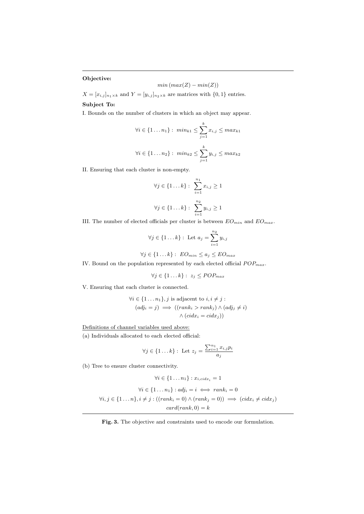**Objective:**

$$
min(max(Z) - min(Z))
$$

 $X = [x_{i,j}]_{n_1 \times k}$  and  $Y = [y_{i,j}]_{n_2 \times k}$  are matrices with  $\{0,1\}$  entries. **Subject To:**

I. Bounds on the number of clusters in which an object may appear.

$$
\forall i \in \{1 \dots n_1\} : \ min_{k1} \le \sum_{j=1}^{k} x_{i,j} \le \max_{k1} \}
$$

$$
\forall i \in \{1 \dots n_2\} : \ min_{k2} \le \sum_{j=1}^{k} y_{i,j} \le \max_{k2} \}
$$

II. Ensuring that each cluster is non-empty.

$$
\forall j \in \{1...k\}: \sum_{i=1}^{n_1} x_{i,j} \ge 1
$$
  

$$
\forall j \in \{1...k\}: \sum_{i=1}^{n_2} y_{i,j} \ge 1
$$

III. The number of elected officials per cluster is between  $EO_{min}$  and  $EO_{max}$ .

$$
\forall j \in \{1 \dots k\} : \text{ Let } a_j = \sum_{i=1}^{n_2} y_{i,j}
$$

$$
\forall j \in \{1 \dots k\} : \text{ } EO_{min} \leq a_j \leq EO_{max}
$$

IV. Bound on the population represented by each elected official  $POP_{max}$ .

$$
\forall j \in \{1 \dots k\} : z_j \le POP_{max}
$$

V. Ensuring that each cluster is connected.

$$
\forall i \in \{1 \dots n_1\}, j \text{ is adjacent to } i, i \neq j :
$$

$$
(adj_i = j) \implies ((rank_i > rank_j) \land (adj_j \neq i) \land (cid_{x_i} = cidx_j))
$$

Definitions of channel variables used above:

(a) Individuals allocated to each elected official:

$$
\forall j \in \{1 \dots k\} : \text{ Let } z_j = \frac{\sum_{i=1}^{n_1} x_{i,j} p_i}{a_j}
$$

(b) Tree to ensure cluster connectivity.

$$
\forall i \in \{1 \dots n_1\} : x_{i, \text{cidx}_i} = 1
$$

$$
\forall i \in \{1 \dots n_1\} : adj_i = i \iff rank_i = 0
$$

$$
\forall i, j \in \{1 \dots n\}, i \neq j : ((rank_i = 0) \land (rank_j = 0)) \implies (\text{cidx}_i \neq \text{cidx}_j)
$$

$$
\text{card}(rank, 0) = k
$$

#### **Fig. 3.** The objective and constraints used to encode our formulation.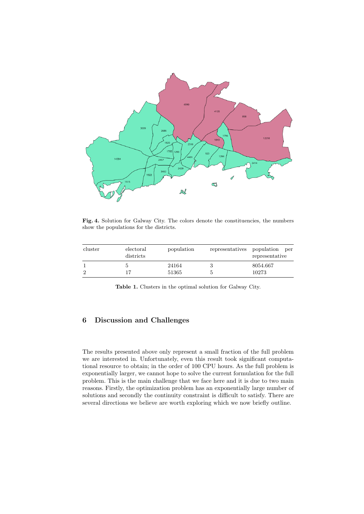

Fig. 4. Solution for Galway City. The colors denote the constituencies, the numbers show the populations for the districts.

| cluster | electoral<br>districts | population     | representatives | population<br>per<br>representative |
|---------|------------------------|----------------|-----------------|-------------------------------------|
|         | 17                     | 24164<br>51365 |                 | 8054.667<br>10273                   |

**Table 1.** Clusters in the optimal solution for Galway City.

# **6 Discussion and Challenges**

The results presented above only represent a small fraction of the full problem we are interested in. Unfortunately, even this result took significant computational resource to obtain; in the order of 100 CPU hours. As the full problem is exponentially larger, we cannot hope to solve the current formulation for the full problem. This is the main challenge that we face here and it is due to two main reasons. Firstly, the optimization problem has an exponentially large number of solutions and secondly the continuity constraint is difficult to satisfy. There are several directions we believe are worth exploring which we now briefly outline.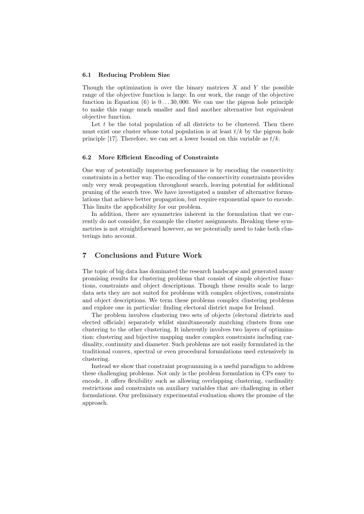#### **6.1 Reducing Problem Size**

Though the optimization is over the binary matrices *X* and *Y* the possible range of the objective function is large. In our work, the range of the objective function in Equation  $(6)$  is  $0 \ldots 30,000$ . We can use the pigeon hole principle to make this range much smaller and find another alternative but equivalent objective function.

Let *t* be the total population of all districts to be clustered. Then there must exist one cluster whose total population is at least  $t/k$  by the pigeon hole principle [17]. Therefore, we can set a lower bound on this variable as *t/k*.

#### **6.2 More Efficient Encoding of Constraints**

One way of potentially improving performance is by encoding the connectivity constraints in a better way. The encoding of the connectivity constraints provides only very weak propagation throughout search, leaving potential for additional pruning of the search tree. We have investigated a number of alternative formulations that achieve better propagation, but require exponential space to encode. This limits the applicability for our problem.

In addition, there are symmetries inherent in the formulation that we currently do not consider, for example the cluster assignments. Breaking these symmetries is not straightforward however, as we potentially need to take both clusterings into account.

# **7 Conclusions and Future Work**

The topic of big data has dominated the research landscape and generated many promising results for clustering problems that consist of simple objective functions, constraints and object descriptions. Though these results scale to large data sets they are not suited for problems with complex objectives, constraints and object descriptions. We term these problems complex clustering problems and explore one in particular: finding electoral district maps for Ireland.

The problem involves clustering two sets of objects (electoral districts and elected officials) separately whilst simultaneously matching clusters from one clustering to the other clustering. It inherently involves two layers of optimization: clustering and bijective mapping under complex constraints including cardinality, continuity and diameter. Such problems are not easily formulated in the traditional convex, spectral or even procedural formulations used extensively in clustering.

Instead we show that constraint programming is a useful paradigm to address these challenging problems. Not only is the problem formulation in CPs easy to encode, it offers flexibility such as allowing overlapping clustering, cardinality restrictions and constraints on auxiliary variables that are challenging in other formulations. Our preliminary experimental evaluation shows the promise of the approach.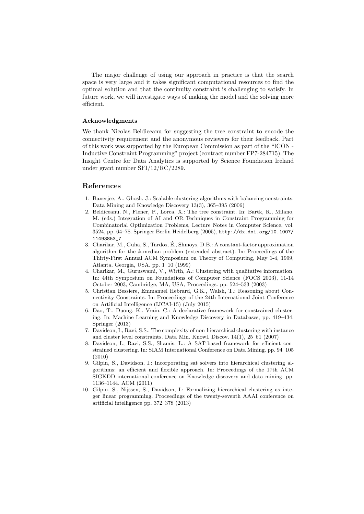The major challenge of using our approach in practice is that the search space is very large and it takes significant computational resources to find the optimal solution and that the continuity constraint is challenging to satisfy. In future work, we will investigate ways of making the model and the solving more efficient.

## **Acknowledgments**

We thank Nicolas Beldiceanu for suggesting the tree constraint to encode the connectivity requirement and the anonymous reviewers for their feedback. Part of this work was supported by the European Commission as part of the "ICON - Inductive Constraint Programming" project (contract number FP7-284715). The Insight Centre for Data Analytics is supported by Science Foundation Ireland under grant number SFI/12/RC/2289.

# **References**

- 1. Banerjee, A., Ghosh, J.: Scalable clustering algorithms with balancing constraints. Data Mining and Knowledge Discovery 13(3), 365–395 (2006)
- 2. Beldiceanu, N., Flener, P., Lorca, X.: The tree constraint. In: Bartk, R., Milano, M. (eds.) Integration of AI and OR Techniques in Constraint Programming for Combinatorial Optimization Problems, Lecture Notes in Computer Science, vol. 3524, pp. 64–78. Springer Berlin Heidelberg (2005), http://dx.doi.org/10.1007/ 11493853\_7
- 3. Charikar, M., Guha, S., Tardos, E., Shmoys, D.B.: A constant-factor approximation ´ algorithm for the *k*-median problem (extended abstract). In: Proceedings of the Thirty-First Annual ACM Symposium on Theory of Computing, May 1-4, 1999, Atlanta, Georgia, USA. pp. 1–10 (1999)
- 4. Charikar, M., Guruswami, V., Wirth, A.: Clustering with qualitative information. In: 44th Symposium on Foundations of Computer Science (FOCS 2003), 11-14 October 2003, Cambridge, MA, USA, Proceedings. pp. 524–533 (2003)
- 5. Christian Bessiere, Emmanuel Hebrard, G.K., Walsh, T.: Reasoning about Connectivity Constraints. In: Proceedings of the 24th International Joint Conference on Artificial Intelligence (IJCAI-15) (July 2015)
- 6. Dao, T., Duong, K., Vrain, C.: A declarative framework for constrained clustering. In: Machine Learning and Knowledge Discovery in Databases, pp. 419–434. Springer (2013)
- 7. Davidson, I., Ravi, S.S.: The complexity of non-hierarchical clustering with instance and cluster level constraints. Data Min. Knowl. Discov. 14(1), 25–61 (2007)
- 8. Davidson, I., Ravi, S.S., Shamis, L.: A SAT-based framework for efficient constrained clustering. In: SIAM International Conference on Data Mining. pp. 94–105 (2010)
- 9. Gilpin, S., Davidson, I.: Incorporating sat solvers into hierarchical clustering algorithms: an efficient and flexible approach. In: Proceedings of the 17th ACM SIGKDD international conference on Knowledge discovery and data mining. pp. 1136–1144. ACM (2011)
- 10. Gilpin, S., Nijssen, S., Davidson, I.: Formalizing hierarchical clustering as integer linear programming. Proceedings of the twenty-seventh AAAI conference on artificial intelligence pp. 372–378 (2013)